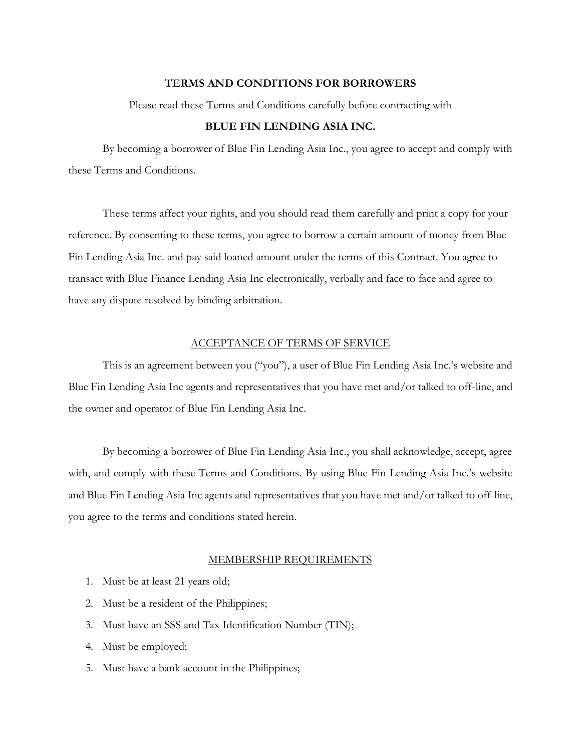#### **TERMS AND CONDITIONS FOR BORROWERS**

Please read these Terms and Conditions carefully before contracting with

## **BLUE FIN LENDING ASIA INC.**

By becoming a borrower of Blue Fin Lending Asia Inc., you agree to accept and comply with these Terms and Conditions.

These terms affect your rights, and you should read them carefully and print a copy for your reference. By consenting to these terms, you agree to borrow a certain amount of money from Blue Fin Lending Asia Inc. and pay said loaned amount under the terms of this Contract. You agree to transact with Blue Finance Lending Asia Inc electronically, verbally and face to face and agree to have any dispute resolved by binding arbitration.

#### ACCEPTANCE OF TERMS OF SERVICE

This is an agreement between you ("you"), a user of Blue Fin Lending Asia Inc.'s website and Blue Fin Lending Asia Inc agents and representatives that you have met and/or talked to off-line, and the owner and operator of Blue Fin Lending Asia Inc.

By becoming a borrower of Blue Fin Lending Asia Inc., you shall acknowledge, accept, agree with, and comply with these Terms and Conditions. By using Blue Fin Lending Asia Inc.'s website and Blue Fin Lending Asia Inc agents and representatives that you have met and/or talked to off-line, you agree to the terms and conditions stated herein.

#### MEMBERSHIP REQUIREMENTS

- 1. Must be at least 21 years old;
- 2. Must be a resident of the Philippines;
- 3. Must have an SSS and Tax Identification Number (TIN);
- 4. Must be employed;
- 5. Must have a bank account in the Philippines;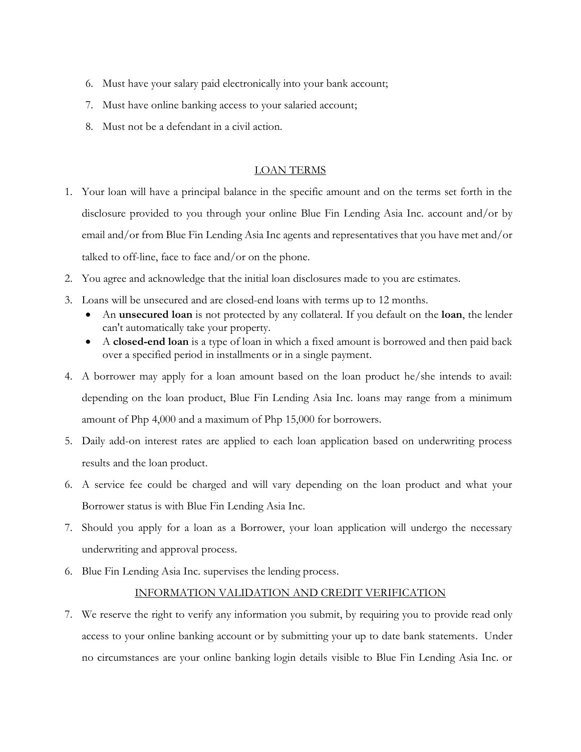- 6. Must have your salary paid electronically into your bank account;
- 7. Must have online banking access to your salaried account;
- 8. Must not be a defendant in a civil action.

### LOAN TERMS

- 1. Your loan will have a principal balance in the specific amount and on the terms set forth in the disclosure provided to you through your online Blue Fin Lending Asia Inc. account and/or by email and/or from Blue Fin Lending Asia Inc agents and representatives that you have met and/or talked to off-line, face to face and/or on the phone.
- 2. You agree and acknowledge that the initial loan disclosures made to you are estimates.
- 3. Loans will be unsecured and are closed-end loans with terms up to 12 months.
	- An **unsecured loan** is not protected by any collateral. If you default on the **loan**, the lender can't automatically take your property.
	- A **closed-end loan** is a type of loan in which a fixed amount is borrowed and then paid back over a specified period in installments or in a single payment.
- 4. A borrower may apply for a loan amount based on the loan product he/she intends to avail: depending on the loan product, Blue Fin Lending Asia Inc. loans may range from a minimum amount of Php 4,000 and a maximum of Php 15,000 for borrowers.
- 5. Daily add-on interest rates are applied to each loan application based on underwriting process results and the loan product.
- 6. A service fee could be charged and will vary depending on the loan product and what your Borrower status is with Blue Fin Lending Asia Inc.
- 7. Should you apply for a loan as a Borrower, your loan application will undergo the necessary underwriting and approval process.
- 6. Blue Fin Lending Asia Inc. supervises the lending process.

# INFORMATION VALIDATION AND CREDIT VERIFICATION

7. We reserve the right to verify any information you submit, by requiring you to provide read only access to your online banking account or by submitting your up to date bank statements. Under no circumstances are your online banking login details visible to Blue Fin Lending Asia Inc. or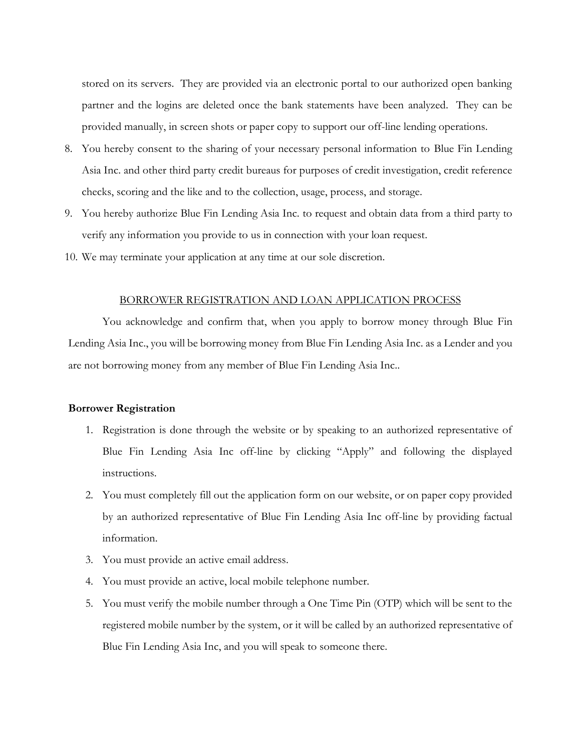stored on its servers. They are provided via an electronic portal to our authorized open banking partner and the logins are deleted once the bank statements have been analyzed. They can be provided manually, in screen shots or paper copy to support our off-line lending operations.

- 8. You hereby consent to the sharing of your necessary personal information to Blue Fin Lending Asia Inc. and other third party credit bureaus for purposes of credit investigation, credit reference checks, scoring and the like and to the collection, usage, process, and storage.
- 9. You hereby authorize Blue Fin Lending Asia Inc. to request and obtain data from a third party to verify any information you provide to us in connection with your loan request.
- 10. We may terminate your application at any time at our sole discretion.

#### BORROWER REGISTRATION AND LOAN APPLICATION PROCESS

You acknowledge and confirm that, when you apply to borrow money through Blue Fin Lending Asia Inc., you will be borrowing money from Blue Fin Lending Asia Inc. as a Lender and you are not borrowing money from any member of Blue Fin Lending Asia Inc..

#### **Borrower Registration**

- 1. Registration is done through the website or by speaking to an authorized representative of Blue Fin Lending Asia Inc off-line by clicking "Apply" and following the displayed instructions.
- 2. You must completely fill out the application form on our website, or on paper copy provided by an authorized representative of Blue Fin Lending Asia Inc off-line by providing factual information.
- 3. You must provide an active email address.
- 4. You must provide an active, local mobile telephone number.
- 5. You must verify the mobile number through a One Time Pin (OTP) which will be sent to the registered mobile number by the system, or it will be called by an authorized representative of Blue Fin Lending Asia Inc, and you will speak to someone there.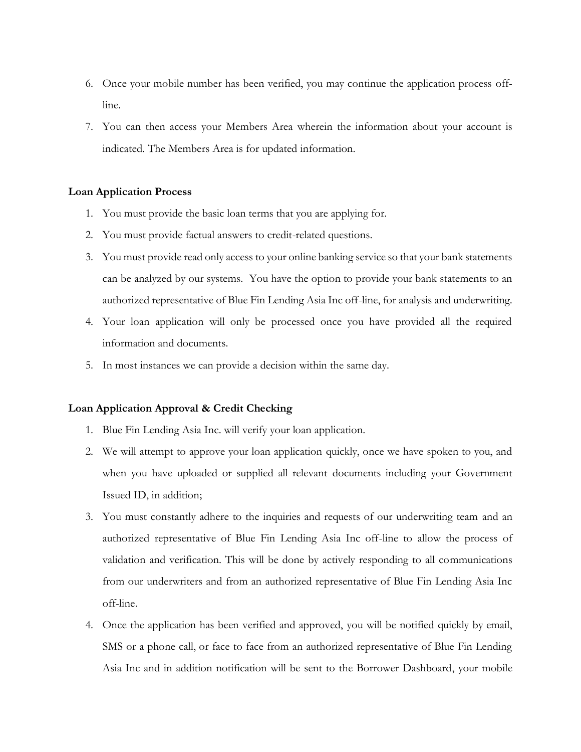- 6. Once your mobile number has been verified, you may continue the application process offline.
- 7. You can then access your Members Area wherein the information about your account is indicated. The Members Area is for updated information.

### **Loan Application Process**

- 1. You must provide the basic loan terms that you are applying for.
- 2. You must provide factual answers to credit-related questions.
- 3. You must provide read only access to your online banking service so that your bank statements can be analyzed by our systems. You have the option to provide your bank statements to an authorized representative of Blue Fin Lending Asia Inc off-line, for analysis and underwriting.
- 4. Your loan application will only be processed once you have provided all the required information and documents.
- 5. In most instances we can provide a decision within the same day.

### **Loan Application Approval & Credit Checking**

- 1. Blue Fin Lending Asia Inc. will verify your loan application.
- 2. We will attempt to approve your loan application quickly, once we have spoken to you, and when you have uploaded or supplied all relevant documents including your Government Issued ID, in addition;
- 3. You must constantly adhere to the inquiries and requests of our underwriting team and an authorized representative of Blue Fin Lending Asia Inc off-line to allow the process of validation and verification. This will be done by actively responding to all communications from our underwriters and from an authorized representative of Blue Fin Lending Asia Inc off-line.
- 4. Once the application has been verified and approved, you will be notified quickly by email, SMS or a phone call, or face to face from an authorized representative of Blue Fin Lending Asia Inc and in addition notification will be sent to the Borrower Dashboard, your mobile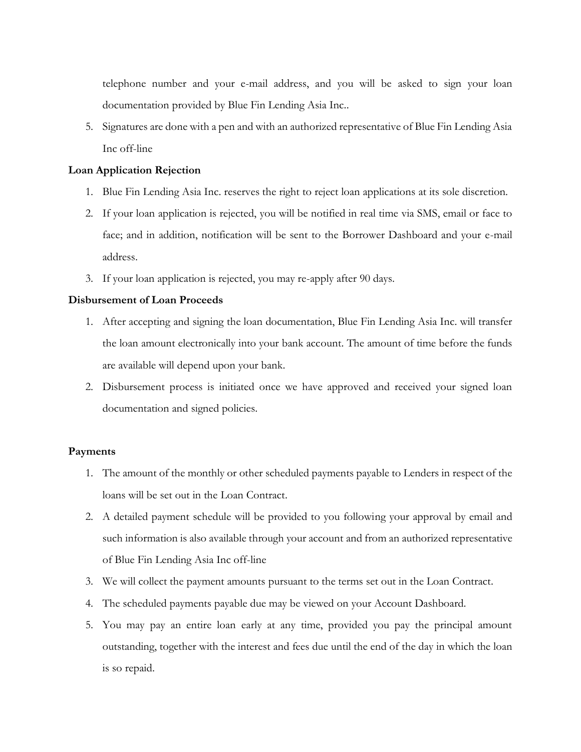telephone number and your e-mail address, and you will be asked to sign your loan documentation provided by Blue Fin Lending Asia Inc..

5. Signatures are done with a pen and with an authorized representative of Blue Fin Lending Asia Inc off-line

## **Loan Application Rejection**

- 1. Blue Fin Lending Asia Inc. reserves the right to reject loan applications at its sole discretion.
- 2. If your loan application is rejected, you will be notified in real time via SMS, email or face to face; and in addition, notification will be sent to the Borrower Dashboard and your e-mail address.
- 3. If your loan application is rejected, you may re-apply after 90 days.

## **Disbursement of Loan Proceeds**

- 1. After accepting and signing the loan documentation, Blue Fin Lending Asia Inc. will transfer the loan amount electronically into your bank account. The amount of time before the funds are available will depend upon your bank.
- 2. Disbursement process is initiated once we have approved and received your signed loan documentation and signed policies.

### **Payments**

- 1. The amount of the monthly or other scheduled payments payable to Lenders in respect of the loans will be set out in the Loan Contract.
- 2. A detailed payment schedule will be provided to you following your approval by email and such information is also available through your account and from an authorized representative of Blue Fin Lending Asia Inc off-line
- 3. We will collect the payment amounts pursuant to the terms set out in the Loan Contract.
- 4. The scheduled payments payable due may be viewed on your Account Dashboard.
- 5. You may pay an entire loan early at any time, provided you pay the principal amount outstanding, together with the interest and fees due until the end of the day in which the loan is so repaid.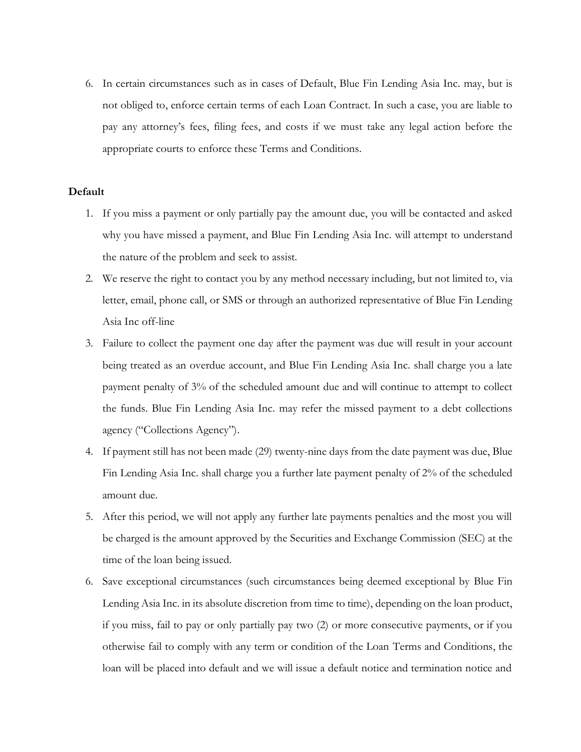6. In certain circumstances such as in cases of Default, Blue Fin Lending Asia Inc. may, but is not obliged to, enforce certain terms of each Loan Contract. In such a case, you are liable to pay any attorney's fees, filing fees, and costs if we must take any legal action before the appropriate courts to enforce these Terms and Conditions.

## **Default**

- 1. If you miss a payment or only partially pay the amount due, you will be contacted and asked why you have missed a payment, and Blue Fin Lending Asia Inc. will attempt to understand the nature of the problem and seek to assist.
- 2. We reserve the right to contact you by any method necessary including, but not limited to, via letter, email, phone call, or SMS or through an authorized representative of Blue Fin Lending Asia Inc off-line
- 3. Failure to collect the payment one day after the payment was due will result in your account being treated as an overdue account, and Blue Fin Lending Asia Inc. shall charge you a late payment penalty of 3% of the scheduled amount due and will continue to attempt to collect the funds. Blue Fin Lending Asia Inc. may refer the missed payment to a debt collections agency ("Collections Agency").
- 4. If payment still has not been made (29) twenty-nine days from the date payment was due, Blue Fin Lending Asia Inc. shall charge you a further late payment penalty of 2% of the scheduled amount due.
- 5. After this period, we will not apply any further late payments penalties and the most you will be charged is the amount approved by the Securities and Exchange Commission (SEC) at the time of the loan being issued.
- 6. Save exceptional circumstances (such circumstances being deemed exceptional by Blue Fin Lending Asia Inc. in its absolute discretion from time to time), depending on the loan product, if you miss, fail to pay or only partially pay two (2) or more consecutive payments, or if you otherwise fail to comply with any term or condition of the Loan Terms and Conditions, the loan will be placed into default and we will issue a default notice and termination notice and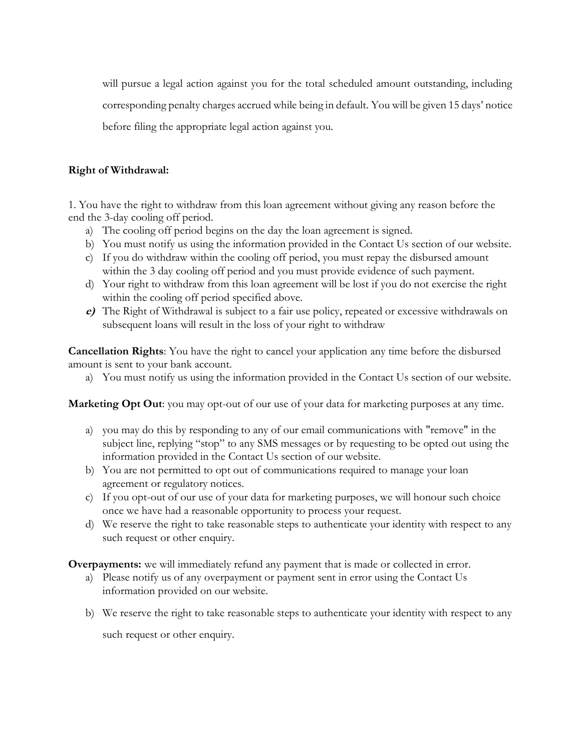will pursue a legal action against you for the total scheduled amount outstanding, including corresponding penalty charges accrued while being in default. You will be given 15 days' notice before filing the appropriate legal action against you.

# **Right of Withdrawal:**

1. You have the right to withdraw from this loan agreement without giving any reason before the end the 3-day cooling off period.

- a) The cooling off period begins on the day the loan agreement is signed.
- b) You must notify us using the information provided in the Contact Us section of our website.
- c) If you do withdraw within the cooling off period, you must repay the disbursed amount within the 3 day cooling off period and you must provide evidence of such payment.
- d) Your right to withdraw from this loan agreement will be lost if you do not exercise the right within the cooling off period specified above.
- **e)** The Right of Withdrawal is subject to a fair use policy, repeated or excessive withdrawals on subsequent loans will result in the loss of your right to withdraw

**Cancellation Rights**: You have the right to cancel your application any time before the disbursed amount is sent to your bank account.

a) You must notify us using the information provided in the Contact Us section of our website.

**Marketing Opt Out**: you may opt-out of our use of your data for marketing purposes at any time.

- a) you may do this by responding to any of our email communications with "remove" in the subject line, replying "stop" to any SMS messages or by requesting to be opted out using the information provided in the Contact Us section of our website.
- b) You are not permitted to opt out of communications required to manage your loan agreement or regulatory notices.
- c) If you opt-out of our use of your data for marketing purposes, we will honour such choice once we have had a reasonable opportunity to process your request.
- d) We reserve the right to take reasonable steps to authenticate your identity with respect to any such request or other enquiry.

**Overpayments:** we will immediately refund any payment that is made or collected in error.

- a) Please notify us of any overpayment or payment sent in error using the Contact Us information provided on our website.
- b) We reserve the right to take reasonable steps to authenticate your identity with respect to any such request or other enquiry.